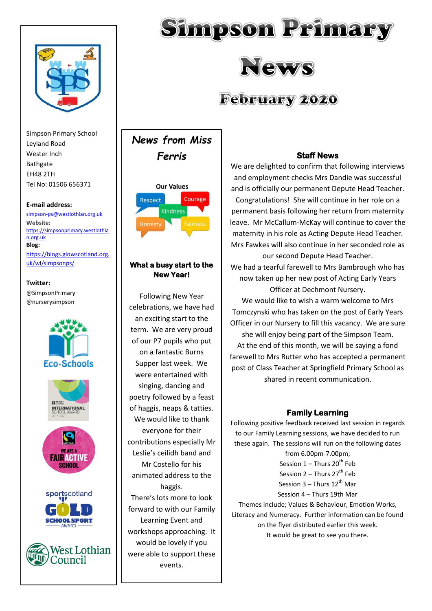

Simpson Primary School Leyland Road Wester Inch Bathgate EH48 2TH Tel No: 01506 656371

#### **E-mail address:**

[simpson-ps@westlothian.org.uk](mailto:simpson-ps@westlothian.org.uk) **Website:** [https://simpsonprimary.westlothia](https://simpsonprimary.westlothian.org.uk/) [n.org.uk](https://simpsonprimary.westlothian.org.uk/) **Blog:** [https://blogs.glowscotland.org.](https://blogs.glowscotland.org.uk/wl/simpsonps/)

[uk/wl/simpsonps/](https://blogs.glowscotland.org.uk/wl/simpsonps/)

# **Twitter:**

@SimpsonPrimary @nurserysimpson







# **February 2020**

*News from Miss Ferris* **Our Values** Courage Respect



# **What a busy start to the New Year!**

Following New Year celebrations, we have had an exciting start to the term. We are very proud of our P7 pupils who put on a fantastic Burns Supper last week. We were entertained with singing, dancing and poetry followed by a feast of haggis, neaps & tatties. We would like to thank everyone for their contributions especially Mr Leslie's ceilidh band and Mr Costello for his animated address to the haggis. There's lots more to look forward to with our Family Learning Event and workshops approaching. It

would be lovely if you were able to support these events.

# **Staff News**

We are delighted to confirm that following interviews and employment checks Mrs Dandie was successful and is officially our permanent Depute Head Teacher. Congratulations! She will continue in her role on a permanent basis following her return from maternity leave. Mr McCallum-McKay will continue to cover the maternity in his role as Acting Depute Head Teacher. Mrs Fawkes will also continue in her seconded role as our second Depute Head Teacher.

We had a tearful farewell to Mrs Bambrough who has now taken up her new post of Acting Early Years Officer at Dechmont Nursery.

We would like to wish a warm welcome to Mrs Tomczynski who has taken on the post of Early Years Officer in our Nursery to fill this vacancy. We are sure she will enjoy being part of the Simpson Team.

At the end of this month, we will be saying a fond farewell to Mrs Rutter who has accepted a permanent post of Class Teacher at Springfield Primary School as shared in recent communication.

# **Family Learning**

Following positive feedback received last session in regards to our Family Learning sessions, we have decided to run these again. The sessions will run on the following dates

> from 6.00pm-7.00pm; Session  $1$  – Thurs  $20<sup>th</sup>$  Feb

Session  $2$  – Thurs  $27<sup>th</sup>$  Feb

Session  $3$  – Thurs  $12^{th}$  Mar

Session 4 – Thurs 19th Mar

Themes include; Values & Behaviour, Emotion Works, Literacy and Numeracy. Further information can be found on the flyer distributed earlier this week. It would be great to see you there.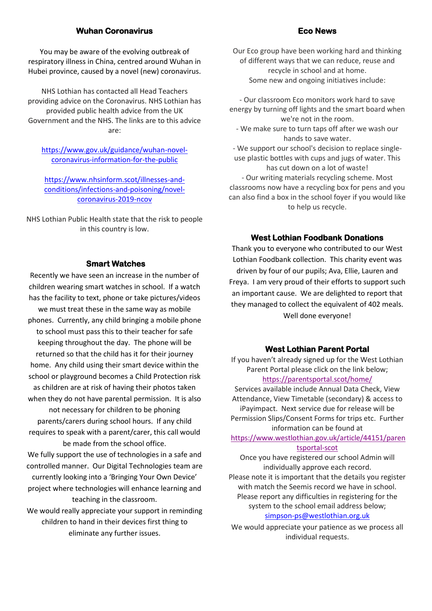# **Wuhan Coronavirus**

You may be aware of the evolving outbreak of respiratory illness in China, centred around Wuhan in Hubei province, caused by a novel (new) coronavirus.

NHS Lothian has contacted all Head Teachers providing advice on the Coronavirus. NHS Lothian has provided public health advice from the UK Government and the NHS. The links are to this advice are:

[https://www.gov.uk/guidance/wuhan-novel](https://www.gov.uk/guidance/wuhan-novel-coronavirus-information-for-the-public)[coronavirus-information-for-the-public](https://www.gov.uk/guidance/wuhan-novel-coronavirus-information-for-the-public)

[https://www.nhsinform.scot/illnesses-and](https://www.nhsinform.scot/illnesses-and-conditions/infections-and-poisoning/novel-coronavirus-2019-ncov)[conditions/infections-and-poisoning/novel](https://www.nhsinform.scot/illnesses-and-conditions/infections-and-poisoning/novel-coronavirus-2019-ncov)[coronavirus-2019-ncov](https://www.nhsinform.scot/illnesses-and-conditions/infections-and-poisoning/novel-coronavirus-2019-ncov)

NHS Lothian Public Health state that the risk to people in this country is low.

#### **Smart Watches**

Recently we have seen an increase in the number of children wearing smart watches in school. If a watch has the facility to text, phone or take pictures/videos we must treat these in the same way as mobile phones. Currently, any child bringing a mobile phone to school must pass this to their teacher for safe keeping throughout the day. The phone will be returned so that the child has it for their journey home. Any child using their smart device within the school or playground becomes a Child Protection risk as children are at risk of having their photos taken when they do not have parental permission. It is also not necessary for children to be phoning parents/carers during school hours. If any child requires to speak with a parent/carer, this call would be made from the school office. We fully support the use of technologies in a safe and controlled manner. Our Digital Technologies team are currently looking into a 'Bringing Your Own Device' project where technologies will enhance learning and teaching in the classroom. We would really appreciate your support in reminding

children to hand in their devices first thing to eliminate any further issues.

Our Eco group have been working hard and thinking of different ways that we can reduce, reuse and recycle in school and at home. Some new and ongoing initiatives include:

- Our classroom Eco monitors work hard to save energy by turning off lights and the smart board when we're not in the room. - We make sure to turn taps off after we wash our hands to save water. - We support our school's decision to replace singleuse plastic bottles with cups and jugs of water. This has cut down on a lot of waste! - Our writing materials recycling scheme. Most classrooms now have a recycling box for pens and you can also find a box in the school foyer if you would like to help us recycle.

# **West Lothian Foodbank Donations**

Thank you to everyone who contributed to our West Lothian Foodbank collection. This charity event was driven by four of our pupils; Ava, Ellie, Lauren and Freya. I am very proud of their efforts to support such an important cause. We are delighted to report that they managed to collect the equivalent of 402 meals. Well done everyone!

## **West Lothian Parent Portal**

If you haven't already signed up for the West Lothian Parent Portal please click on the link below; <https://parentsportal.scot/home/>

Services available include Annual Data Check, View Attendance, View Timetable (secondary) & access to iPayimpact. Next service due for release will be Permission Slips/Consent Forms for trips etc. Further information can be found at

# [https://www.westlothian.gov.uk/article/44151/paren](https://www.westlothian.gov.uk/article/44151/parentsportal-scot) [tsportal-scot](https://www.westlothian.gov.uk/article/44151/parentsportal-scot)

Once you have registered our school Admin will individually approve each record.

Please note it is important that the details you register with match the Seemis record we have in school. Please report any difficulties in registering for the system to the school email address below; [simpson-ps@westlothian.org.uk](mailto:simpson-ps@westlothian.org.uk)

We would appreciate your patience as we process all individual requests.

#### **Eco News**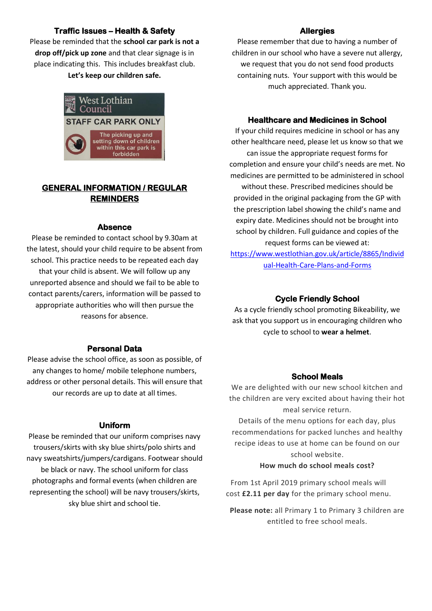# **Traffic Issues – Health & Safety**

Please be reminded that the **school car park is not a drop off/pick up zone** and that clear signage is in place indicating this. This includes breakfast club.

**Let's keep our children safe.** 



# **GENERAL INFORMATION / REGULAR REMINDERS**

### **Absence**

Please be reminded to contact school by 9.30am at the latest, should your child require to be absent from school. This practice needs to be repeated each day that your child is absent. We will follow up any unreported absence and should we fail to be able to contact parents/carers, information will be passed to appropriate authorities who will then pursue the reasons for absence.

## **Personal Data**

Please advise the school office, as soon as possible, of any changes to home/ mobile telephone numbers, address or other personal details. This will ensure that our records are up to date at all times.

#### **Uniform**

Please be reminded that our uniform comprises navy trousers/skirts with sky blue shirts/polo shirts and navy sweatshirts/jumpers/cardigans. Footwear should be black or navy. The school uniform for class photographs and formal events (when children are representing the school) will be navy trousers/skirts, sky blue shirt and school tie.

#### **Allergies**

Please remember that due to having a number of children in our school who have a severe nut allergy, we request that you do not send food products containing nuts. Your support with this would be much appreciated. Thank you.

## **Healthcare and Medicines in School**

If your child requires medicine in school or has any other healthcare need, please let us know so that we can issue the appropriate request forms for completion and ensure your child's needs are met. No medicines are permitted to be administered in school without these. Prescribed medicines should be provided in the original packaging from the GP with the prescription label showing the child's name and expiry date. Medicines should not be brought into school by children. Full guidance and copies of the request forms can be viewed at:

[https://www.westlothian.gov.uk/article/8865/Individ](https://www.westlothian.gov.uk/article/8865/Individual-Health-Care-Plans-and-Forms) [ual-Health-Care-Plans-and-Forms](https://www.westlothian.gov.uk/article/8865/Individual-Health-Care-Plans-and-Forms)

# **Cycle Friendly School**

As a cycle friendly school promoting Bikeability, we ask that you support us in encouraging children who cycle to school to **wear a helmet**.

## **School Meals**

We are delighted with our new school kitchen and the children are very excited about having their hot meal service return.

Details of the menu options for each day, plus recommendations for packed lunches and healthy recipe ideas to use at home can be found on our school website.

## **How much do school meals cost?**

From 1st April 2019 primary school meals will cost **£2.11 per day** for the primary school menu.

**Please note:** all Primary 1 to Primary 3 children are entitled to free school meals.